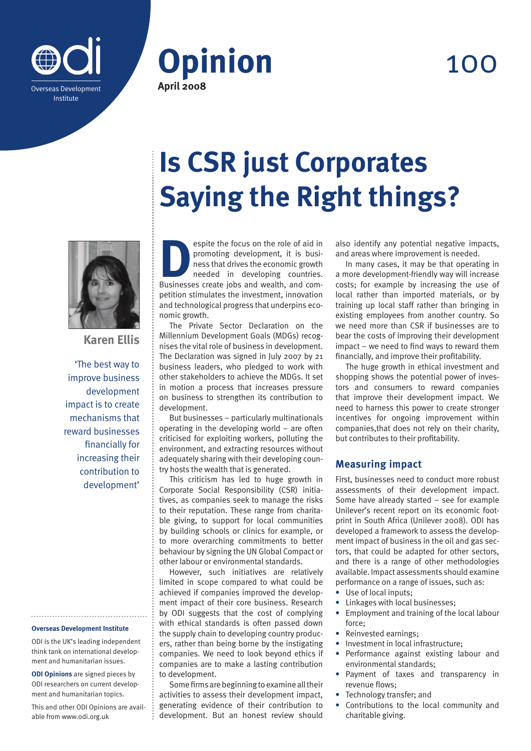



## 100



**Karen Ellis**

'The best way to improve business development impact is to create mechanisms that reward businesses financially for increasing their contribution to development'

#### **Overseas Development Institute**

ODI is the UK's leading independent think tank on international development and humanitarian issues.

**ODI Opinions** are signed pieces by ODI researchers on current development and humanitarian topics.

This and other ODI Opinions are available from www.odi.org.uk

# **Is CSR just Corporates Saying the Right things?**

**Example 19 Spite the focus on the role of aid in promoting development, it is business that drives the economic growth needed in developing countries.<br>Businesses create jobs and wealth, and com**promoting development, it is business that drives the economic growth needed in developing countries. petition stimulates the investment, innovation and technological progress that underpins economic growth.

The Private Sector Declaration on the Millennium Development Goals (MDGs) recognises the vital role of business in development. The Declaration was signed in July 2007 by 21 business leaders, who pledged to work with other stakeholders to achieve the MDGs. It set in motion a process that increases pressure on business to strengthen its contribution to development.

But businesses – particularly multinationals operating in the developing world – are often criticised for exploiting workers, polluting the environment, and extracting resources without adequately sharing with their developing country hosts the wealth that is generated.

This criticism has led to huge growth in Corporate Social Responsibility (CSR) initiatives, as companies seek to manage the risks to their reputation. These range from charitable giving, to support for local communities by building schools or clinics for example, or to more overarching commitments to better behaviour by signing the UN Global Compact or other labour or environmental standards.

However, such initiatives are relatively limited in scope compared to what could be achieved if companies improved the development impact of their core business. Research by ODI suggests that the cost of complying with ethical standards is often passed down the supply chain to developing country producers, rather than being borne by the instigating companies. We need to look beyond ethics if companies are to make a lasting contribution to development.

Some firms are beginning to examine all their activities to assess their development impact, generating evidence of their contribution to development. But an honest review should also identify any potential negative impacts, and areas where improvement is needed.

In many cases, it may be that operating in a more development-friendly way will increase costs; for example by increasing the use of local rather than imported materials, or by training up local staff rather than bringing in existing employees from another country. So we need more than CSR if businesses are to bear the costs of improving their development impact – we need to find ways to reward them financially, and improve their profitability.

The huge growth in ethical investment and shopping shows the potential power of investors and consumers to reward companies that improve their development impact. We need to harness this power to create stronger incentives for ongoing improvement within companies,that does not rely on their charity, but contributes to their profitability.

### **Measuring impact**

First, businesses need to conduct more robust assessments of their development impact. Some have already started – see for example Unilever's recent report on its economic footprint in South Africa (Unilever 2008). ODI has developed a framework to assess the development impact of business in the oil and gas sectors, that could be adapted for other sectors, and there is a range of other methodologies available. Impact assessments should examine performance on a range of issues, such as:

- **•** Use of local inputs;
- **•** Linkages with local businesses;
- **•** Employment and training of the local labour force;
- **•** Reinvested earnings;
- **•** Investment in local infrastructure;
- **•** Performance against existing labour and environmental standards;
- **•** Payment of taxes and transparency in revenue flows;
- **•** Technology transfer; and
- **•** Contributions to the local community and charitable giving.